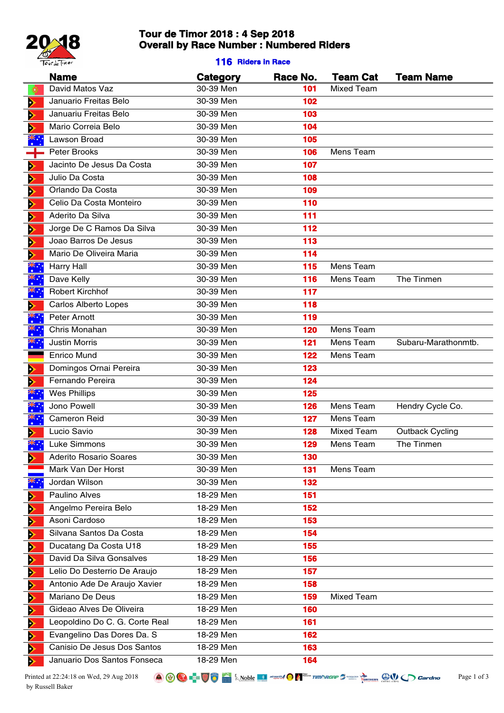

# **Tour de Timor 2018 : 4 Sep 2018 Overall by Race Number : Numbered Riders**

### **116 Riders in Race**

|    | <b>Name</b>                    | <b>Category</b> | Race No. | <b>Team Cat</b>   | <b>Team Name</b>       |
|----|--------------------------------|-----------------|----------|-------------------|------------------------|
| O  | David Matos Vaz                | 30-39 Men       | 101      | Mixed Team        |                        |
| Þ  | Januario Freitas Belo          | 30-39 Men       | 102      |                   |                        |
| Þ  | Januariu Freitas Belo          | 30-39 Men       | 103      |                   |                        |
| ⋗  | Mario Correia Belo             | 30-39 Men       | 104      |                   |                        |
|    | <b>Lawson Broad</b>            | 30-39 Men       | 105      |                   |                        |
|    | Peter Brooks                   | 30-39 Men       | 106      | Mens Team         |                        |
| Þ  | Jacinto De Jesus Da Costa      | 30-39 Men       | 107      |                   |                        |
| Þ  | Julio Da Costa                 | 30-39 Men       | 108      |                   |                        |
| Đ  | Orlando Da Costa               | 30-39 Men       | 109      |                   |                        |
| Þ  | Celio Da Costa Monteiro        | 30-39 Men       | 110      |                   |                        |
| Đ  | Aderito Da Silva               | 30-39 Men       | 111      |                   |                        |
| Þ  | Jorge De C Ramos Da Silva      | 30-39 Men       | 112      |                   |                        |
| Đ  | Joao Barros De Jesus           | 30-39 Men       | 113      |                   |                        |
| Ð  | Mario De Oliveira Maria        | 30-39 Men       | 114      |                   |                        |
|    | <b>Harry Hall</b>              | 30-39 Men       | 115      | Mens Team         |                        |
|    | Dave Kelly                     | 30-39 Men       | 116      | Mens Team         | The Tinmen             |
| ॕ  | <b>Robert Kirchhof</b>         | 30-39 Men       | 117      |                   |                        |
| ⋗  | Carlos Alberto Lopes           | 30-39 Men       | 118      |                   |                        |
| ैँ | Peter Arnott                   | 30-39 Men       | 119      |                   |                        |
|    | Chris Monahan                  | 30-39 Men       | 120      | Mens Team         |                        |
| ▓ੑ | <b>Justin Morris</b>           | 30-39 Men       | 121      | Mens Team         | Subaru-Marathonmtb.    |
|    | Enrico Mund                    | 30-39 Men       | 122      | Mens Team         |                        |
| ⋗  | Domingos Ornai Pereira         | 30-39 Men       | 123      |                   |                        |
| ⋗  | Fernando Pereira               | 30-39 Men       | 124      |                   |                        |
|    | <b>Wes Phillips</b>            | 30-39 Men       | 125      |                   |                        |
|    | Jono Powell                    | 30-39 Men       | 126      | Mens Team         | Hendry Cycle Co.       |
|    | <b>Cameron Reid</b>            | 30-39 Men       | 127      | Mens Team         |                        |
|    | Lucio Savio                    | 30-39 Men       | 128      | <b>Mixed Team</b> | <b>Outback Cycling</b> |
|    | Luke Simmons                   | 30-39 Men       | 129      | Mens Team         | The Tinmen             |
| ⋗  | Aderito Rosario Soares         | 30-39 Men       | 130      |                   |                        |
|    | Mark Van Der Horst             | 30-39 Men       | 131      | Mens Team         |                        |
|    | Jordan Wilson                  | 30-39 Men       | 132      |                   |                        |
| ⋗  | Paulino Alves                  | 18-29 Men       | 151      |                   |                        |
| ⋗  | Angelmo Pereira Belo           | 18-29 Men       | 152      |                   |                        |
| Ð  | Asoni Cardoso                  | 18-29 Men       | 153      |                   |                        |
| Ð  | Silvana Santos Da Costa        | 18-29 Men       | 154      |                   |                        |
| Ð  | Ducatang Da Costa U18          | 18-29 Men       | 155      |                   |                        |
| Ð  | David Da Silva Gonsalves       | 18-29 Men       | 156      |                   |                        |
| Ð  | Lelio Do Desterrio De Araujo   | 18-29 Men       | 157      |                   |                        |
| ゥ  | Antonio Ade De Araujo Xavier   | 18-29 Men       | 158      |                   |                        |
| Ð  | Mariano De Deus                | 18-29 Men       | 159      | Mixed Team        |                        |
| ⋗  | Gideao Alves De Oliveira       | 18-29 Men       | 160      |                   |                        |
| Ð  | Leopoldino Do C. G. Corte Real | 18-29 Men       | 161      |                   |                        |
| ゥ  | Evangelino Das Dores Da. S     | 18-29 Men       | 162      |                   |                        |
| Þ  | Canisio De Jesus Dos Santos    | 18-29 Men       | 163      |                   |                        |
| ゥ  | Januario Dos Santos Fonseca    | 18-29 Men       | 164      |                   |                        |
|    |                                |                 |          |                   |                        |

Printed at 22:24:18 on Wed, 29 Aug 2018 **Page 1**  $\bigotimes_{\blacksquare} \bigotimes_{\blacksquare} \bigotimes_{\blacksquare} \bigotimes_{\blacksquare} \bigotimes_{\blacksquare} \bigotimes_{\blacksquare} \bigotimes_{\blacksquare} \bigotimes_{\blacksquare} \bigotimes_{\blacksquare} \bigotimes_{\blacksquare} \bigotimes_{\blacksquare} \bigotimes_{\blacksquare} \bigotimes_{\blacksquare} \bigotimes_{\blacksquare} \bigotimes_{\blacksquare} \bigotimes_{\blacksquare} \bigotimes_{\blacksquare} \$ by Russell Baker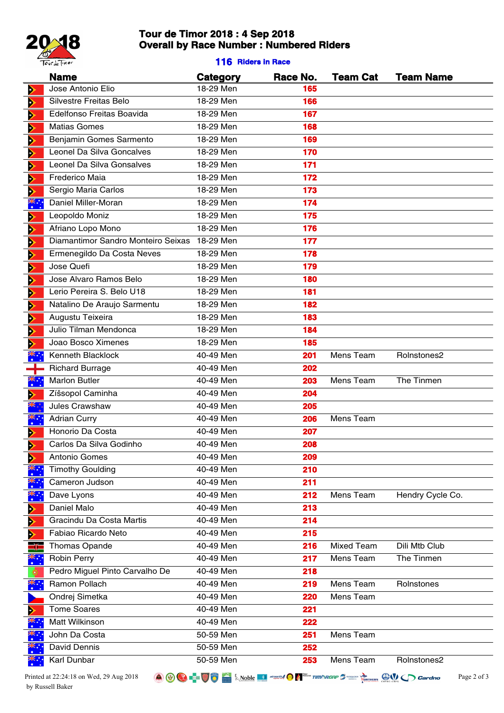

# **Tour de Timor 2018 : 4 Sep 2018 Overall by Race Number : Numbered Riders**

### **116 Riders in Race**

|                       | <b>Name</b>                                     | <b>Category</b>        | Race No.   | <b>Team Cat</b>   | <b>Team Name</b> |
|-----------------------|-------------------------------------------------|------------------------|------------|-------------------|------------------|
| D                     | Jose Antonio Elio                               | 18-29 Men              | 165        |                   |                  |
| D                     | Silvestre Freitas Belo                          | 18-29 Men              | 166        |                   |                  |
| D                     | Edelfonso Freitas Boavida                       | 18-29 Men              | 167        |                   |                  |
| Þ                     | <b>Matias Gomes</b>                             | 18-29 Men              | 168        |                   |                  |
| D                     | Benjamin Gomes Sarmento                         | 18-29 Men              | 169        |                   |                  |
| D                     | Leonel Da Silva Goncalves                       | 18-29 Men              | 170        |                   |                  |
| D                     | Leonel Da Silva Gonsalves                       | 18-29 Men              | 171        |                   |                  |
| D                     | Frederico Maia                                  | 18-29 Men              | 172        |                   |                  |
| D                     | Sergio Maria Carlos                             | 18-29 Men              | 173        |                   |                  |
|                       | Daniel Miller-Moran                             | 18-29 Men              | 174        |                   |                  |
| D                     | Leopoldo Moniz                                  | 18-29 Men              | 175        |                   |                  |
| D                     | Afriano Lopo Mono                               | 18-29 Men              | 176        |                   |                  |
| D                     | Diamantimor Sandro Monteiro Seixas              | 18-29 Men              | 177        |                   |                  |
| Þ                     | Ermenegildo Da Costa Neves                      | 18-29 Men              | 178        |                   |                  |
| D                     | Jose Quefi                                      | 18-29 Men              | 179        |                   |                  |
| Þ                     | Jose Alvaro Ramos Belo                          | 18-29 Men              | 180        |                   |                  |
| D                     | Lerio Pereira S. Belo U18                       | 18-29 Men              | 181        |                   |                  |
| Þ                     | Natalino De Araujo Sarmentu                     | 18-29 Men              | 182        |                   |                  |
| D                     | Augustu Teixeira                                | 18-29 Men              | 183        |                   |                  |
| D                     | Julio Tilman Mendonca                           | 18-29 Men              | 184        |                   |                  |
| $\blacktriangleright$ | Joao Bosco Ximenes                              | 18-29 Men              | 185        |                   |                  |
|                       | Kenneth Blacklock                               | 40-49 Men              | 201        | Mens Team         | Rolnstones2      |
|                       | <b>Richard Burrage</b>                          | 40-49 Men              | 202        |                   |                  |
| ؉ٞ<br>;               | <b>Marlon Butler</b>                            | 40-49 Men              | 203        | Mens Team         | The Tinmen       |
| ⋗                     | Zíšsopol Caminha                                | 40-49 Men              | 204        |                   |                  |
|                       | Jules Crawshaw                                  | 40-49 Men              | 205        |                   |                  |
| ॕ                     | <b>Adrian Curry</b>                             | 40-49 Men              | 206        | Mens Team         |                  |
| ⋗                     | Honorio Da Costa                                | 40-49 Men              | 207        |                   |                  |
| D                     | Carlos Da Silva Godinho                         | 40-49 Men              | 208        |                   |                  |
| ⋗                     | Antonio Gomes                                   | 40-49 Men              | 209        |                   |                  |
|                       | <b>Timothy Goulding</b>                         | 40-49 Men              | 210        |                   |                  |
|                       | Cameron Judson                                  | 40-49 Men              | 211        |                   |                  |
|                       | Dave Lyons                                      | 40-49 Men              | 212        | Mens Team         | Hendry Cycle Co. |
| ⋗                     | Daniel Malo                                     | 40-49 Men              | 213        |                   |                  |
| Þ                     | Gracindu Da Costa Martis<br>Fabiao Ricardo Neto | 40-49 Men<br>40-49 Men | 214<br>215 |                   |                  |
| D                     | Thomas Opande                                   | 40-49 Men              | 216        | <b>Mixed Team</b> | Dili Mtb Club    |
|                       | Robin Perry                                     | 40-49 Men              | 217        | Mens Team         | The Tinmen       |
|                       | Pedro Miguel Pinto Carvalho De                  | 40-49 Men              | 218        |                   |                  |
| *∵                    | Ramon Pollach                                   | 40-49 Men              | 219        | Mens Team         | Rolnstones       |
|                       | Ondrej Simetka                                  | 40-49 Men              | 220        | Mens Team         |                  |
| ⋗                     | <b>Tome Soares</b>                              | 40-49 Men              | 221        |                   |                  |
|                       | Matt Wilkinson                                  | 40-49 Men              | 222        |                   |                  |
|                       | John Da Costa                                   | 50-59 Men              | 251        | Mens Team         |                  |
|                       | David Dennis                                    | 50-59 Men              | 252        |                   |                  |
|                       | Karl Dunbar                                     | 50-59 Men              | 253        | Mens Team         | Rolnstones2      |
|                       |                                                 |                        |            |                   |                  |